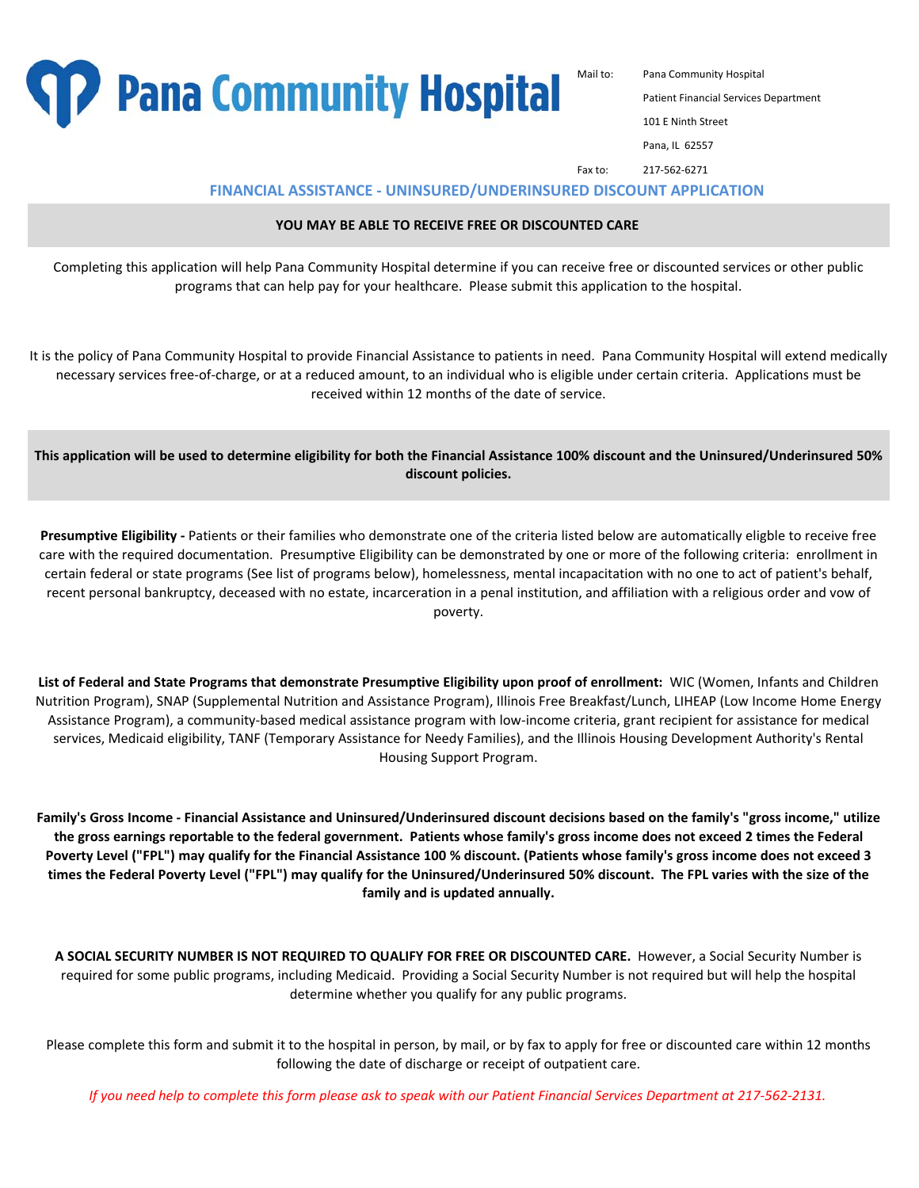

Mail to: Pana Community Hospital

**101 E Ninth Street** 

Pana, IL 62557

Fax to: 217-562-6271

**FINANCIAL ASSISTANCE - UNINSURED/UNDERINSURED DISCOUNT APPLICATION**

#### **YOU MAY BE ABLE TO RECEIVE FREE OR DISCOUNTED CARE**

Completing this application will help Pana Community Hospital determine if you can receive free or discounted services or other public programs that can help pay for your healthcare. Please submit this application to the hospital.

It is the policy of Pana Community Hospital to provide Financial Assistance to patients in need. Pana Community Hospital will extend medically necessary services free-of-charge, or at a reduced amount, to an individual who is eligible under certain criteria. Applications must be received within 12 months of the date of service.

**This application will be used to determine eligibility for both the Financial Assistance 100% discount and the Uninsured/Underinsured 50% discount policies.**

**Presumptive Eligibility -** Patients or their families who demonstrate one of the criteria listed below are automatically eligble to receive free care with the required documentation. Presumptive Eligibility can be demonstrated by one or more of the following criteria: enrollment in certain federal or state programs (See list of programs below), homelessness, mental incapacitation with no one to act of patient's behalf, recent personal bankruptcy, deceased with no estate, incarceration in a penal institution, and affiliation with a religious order and vow of poverty.

**List of Federal and State Programs that demonstrate Presumptive Eligibility upon proof of enrollment:** WIC (Women, Infants and Children Nutrition Program), SNAP (Supplemental Nutrition and Assistance Program), Illinois Free Breakfast/Lunch, LIHEAP (Low Income Home Energy Assistance Program), a community-based medical assistance program with low-income criteria, grant recipient for assistance for medical services, Medicaid eligibility, TANF (Temporary Assistance for Needy Families), and the Illinois Housing Development Authority's Rental Housing Support Program.

**Family's Gross Income - Financial Assistance and Uninsured/Underinsured discount decisions based on the family's "gross income," utilize the gross earnings reportable to the federal government. Patients whose family's gross income does not exceed 2 times the Federal Poverty Level ("FPL") may qualify for the Financial Assistance 100 % discount. (Patients whose family's gross income does not exceed 3 times the Federal Poverty Level ("FPL") may qualify for the Uninsured/Underinsured 50% discount. The FPL varies with the size of the family and is updated annually.** 

**A SOCIAL SECURITY NUMBER IS NOT REQUIRED TO QUALIFY FOR FREE OR DISCOUNTED CARE.** However, a Social Security Number is required for some public programs, including Medicaid. Providing a Social Security Number is not required but will help the hospital determine whether you qualify for any public programs.

Please complete this form and submit it to the hospital in person, by mail, or by fax to apply for free or discounted care within 12 months following the date of discharge or receipt of outpatient care.

*If you need help to complete this form please ask to speak with our Patient Financial Services Department at 217-562-2131.*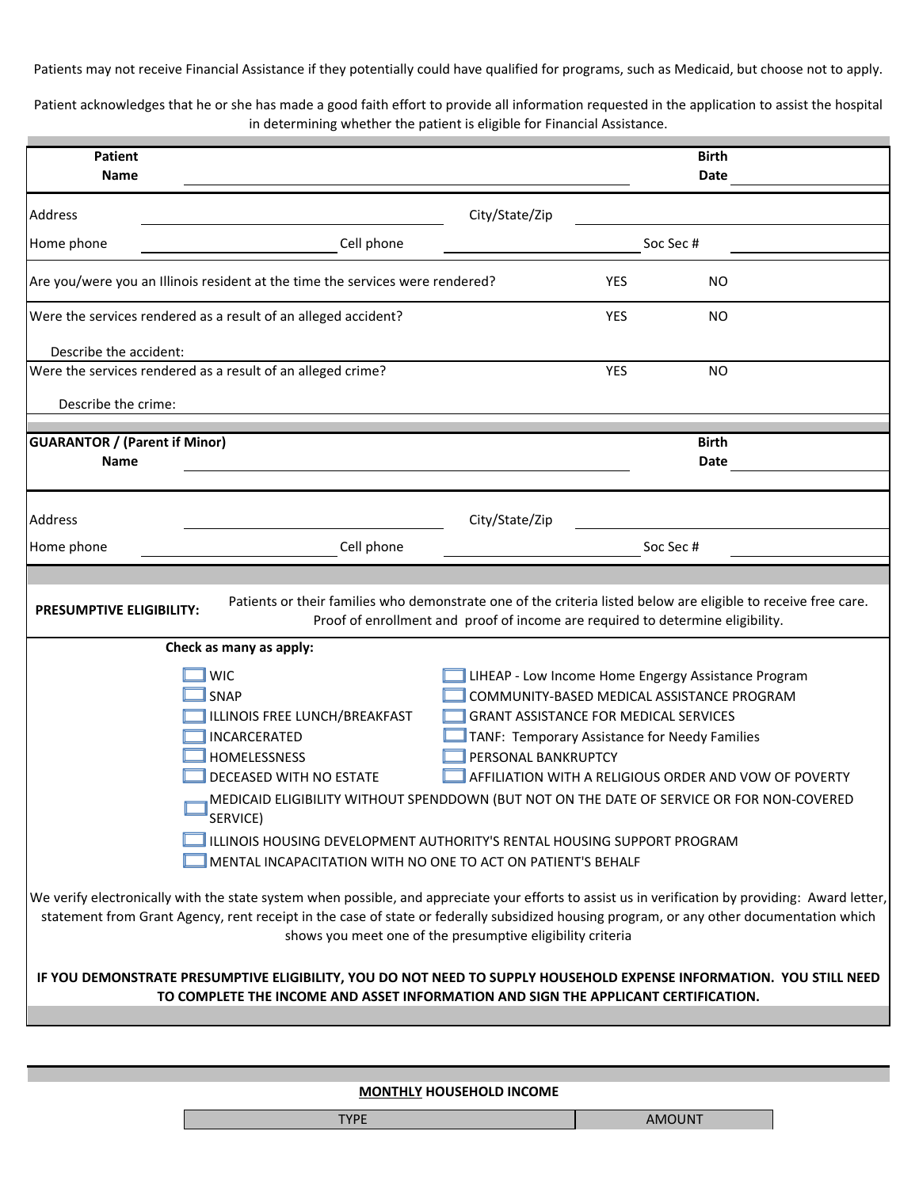Patients may not receive Financial Assistance if they potentially could have qualified for programs, such as Medicaid, but choose not to apply.

Patient acknowledges that he or she has made a good faith effort to provide all information requested in the application to assist the hospital in determining whether the patient is eligible for Financial Assistance.

| <b>Patient</b><br>Name                                                                                                                                                                                                                                                                                                                                                                                                                                                                                                                                                                                                                                                                                                                                                                                                                                                                                                                                                                                                                                                                                                                                          |                                                                                                                                                                                                  |                |            | <b>Birth</b><br>Date |  |
|-----------------------------------------------------------------------------------------------------------------------------------------------------------------------------------------------------------------------------------------------------------------------------------------------------------------------------------------------------------------------------------------------------------------------------------------------------------------------------------------------------------------------------------------------------------------------------------------------------------------------------------------------------------------------------------------------------------------------------------------------------------------------------------------------------------------------------------------------------------------------------------------------------------------------------------------------------------------------------------------------------------------------------------------------------------------------------------------------------------------------------------------------------------------|--------------------------------------------------------------------------------------------------------------------------------------------------------------------------------------------------|----------------|------------|----------------------|--|
| Address                                                                                                                                                                                                                                                                                                                                                                                                                                                                                                                                                                                                                                                                                                                                                                                                                                                                                                                                                                                                                                                                                                                                                         |                                                                                                                                                                                                  | City/State/Zip |            |                      |  |
| Home phone                                                                                                                                                                                                                                                                                                                                                                                                                                                                                                                                                                                                                                                                                                                                                                                                                                                                                                                                                                                                                                                                                                                                                      | Cell phone                                                                                                                                                                                       |                |            | Soc Sec #            |  |
|                                                                                                                                                                                                                                                                                                                                                                                                                                                                                                                                                                                                                                                                                                                                                                                                                                                                                                                                                                                                                                                                                                                                                                 | Are you/were you an Illinois resident at the time the services were rendered?                                                                                                                    |                | <b>YES</b> | NO.                  |  |
|                                                                                                                                                                                                                                                                                                                                                                                                                                                                                                                                                                                                                                                                                                                                                                                                                                                                                                                                                                                                                                                                                                                                                                 | Were the services rendered as a result of an alleged accident?                                                                                                                                   |                | <b>YES</b> | <b>NO</b>            |  |
| Describe the accident:                                                                                                                                                                                                                                                                                                                                                                                                                                                                                                                                                                                                                                                                                                                                                                                                                                                                                                                                                                                                                                                                                                                                          |                                                                                                                                                                                                  |                |            |                      |  |
|                                                                                                                                                                                                                                                                                                                                                                                                                                                                                                                                                                                                                                                                                                                                                                                                                                                                                                                                                                                                                                                                                                                                                                 | Were the services rendered as a result of an alleged crime?                                                                                                                                      |                | <b>YES</b> | <b>NO</b>            |  |
| Describe the crime:                                                                                                                                                                                                                                                                                                                                                                                                                                                                                                                                                                                                                                                                                                                                                                                                                                                                                                                                                                                                                                                                                                                                             |                                                                                                                                                                                                  |                |            |                      |  |
| <b>GUARANTOR / (Parent if Minor)</b>                                                                                                                                                                                                                                                                                                                                                                                                                                                                                                                                                                                                                                                                                                                                                                                                                                                                                                                                                                                                                                                                                                                            |                                                                                                                                                                                                  |                |            | <b>Birth</b>         |  |
| Name                                                                                                                                                                                                                                                                                                                                                                                                                                                                                                                                                                                                                                                                                                                                                                                                                                                                                                                                                                                                                                                                                                                                                            |                                                                                                                                                                                                  |                |            | Date                 |  |
|                                                                                                                                                                                                                                                                                                                                                                                                                                                                                                                                                                                                                                                                                                                                                                                                                                                                                                                                                                                                                                                                                                                                                                 |                                                                                                                                                                                                  |                |            |                      |  |
| Address                                                                                                                                                                                                                                                                                                                                                                                                                                                                                                                                                                                                                                                                                                                                                                                                                                                                                                                                                                                                                                                                                                                                                         |                                                                                                                                                                                                  | City/State/Zip |            |                      |  |
| Home phone                                                                                                                                                                                                                                                                                                                                                                                                                                                                                                                                                                                                                                                                                                                                                                                                                                                                                                                                                                                                                                                                                                                                                      | Cell phone                                                                                                                                                                                       |                |            | Soc Sec #            |  |
|                                                                                                                                                                                                                                                                                                                                                                                                                                                                                                                                                                                                                                                                                                                                                                                                                                                                                                                                                                                                                                                                                                                                                                 |                                                                                                                                                                                                  |                |            |                      |  |
| <b>PRESUMPTIVE ELIGIBILITY:</b>                                                                                                                                                                                                                                                                                                                                                                                                                                                                                                                                                                                                                                                                                                                                                                                                                                                                                                                                                                                                                                                                                                                                 | Patients or their families who demonstrate one of the criteria listed below are eligible to receive free care.<br>Proof of enrollment and proof of income are required to determine eligibility. |                |            |                      |  |
|                                                                                                                                                                                                                                                                                                                                                                                                                                                                                                                                                                                                                                                                                                                                                                                                                                                                                                                                                                                                                                                                                                                                                                 | Check as many as apply:                                                                                                                                                                          |                |            |                      |  |
| <b>WIC</b><br>LIHEAP - Low Income Home Engergy Assistance Program<br><b>SNAP</b><br>COMMUNITY-BASED MEDICAL ASSISTANCE PROGRAM<br>ILLINOIS FREE LUNCH/BREAKFAST<br><b>GRANT ASSISTANCE FOR MEDICAL SERVICES</b><br>INCARCERATED<br>TANF: Temporary Assistance for Needy Families<br>HOMELESSNESS<br>PERSONAL BANKRUPTCY<br>DECEASED WITH NO ESTATE<br>AFFILIATION WITH A RELIGIOUS ORDER AND VOW OF POVERTY<br>MEDICAID ELIGIBILITY WITHOUT SPENDDOWN (BUT NOT ON THE DATE OF SERVICE OR FOR NON-COVERED<br>$\equiv$ SERVICE)<br>ILLINOIS HOUSING DEVELOPMENT AUTHORITY'S RENTAL HOUSING SUPPORT PROGRAM<br>MENTAL INCAPACITATION WITH NO ONE TO ACT ON PATIENT'S BEHALF<br>We verify electronically with the state system when possible, and appreciate your efforts to assist us in verification by providing: Award letter,<br>statement from Grant Agency, rent receipt in the case of state or federally subsidized housing program, or any other documentation which<br>shows you meet one of the presumptive eligibility criteria<br>IF YOU DEMONSTRATE PRESUMPTIVE ELIGIBILITY, YOU DO NOT NEED TO SUPPLY HOUSEHOLD EXPENSE INFORMATION. YOU STILL NEED |                                                                                                                                                                                                  |                |            |                      |  |
|                                                                                                                                                                                                                                                                                                                                                                                                                                                                                                                                                                                                                                                                                                                                                                                                                                                                                                                                                                                                                                                                                                                                                                 | TO COMPLETE THE INCOME AND ASSET INFORMATION AND SIGN THE APPLICANT CERTIFICATION.                                                                                                               |                |            |                      |  |
|                                                                                                                                                                                                                                                                                                                                                                                                                                                                                                                                                                                                                                                                                                                                                                                                                                                                                                                                                                                                                                                                                                                                                                 |                                                                                                                                                                                                  |                |            |                      |  |

## **MONTHLY HOUSEHOLD INCOME**

| TVDE<br>. | <b>AMOUNT</b> |
|-----------|---------------|
|-----------|---------------|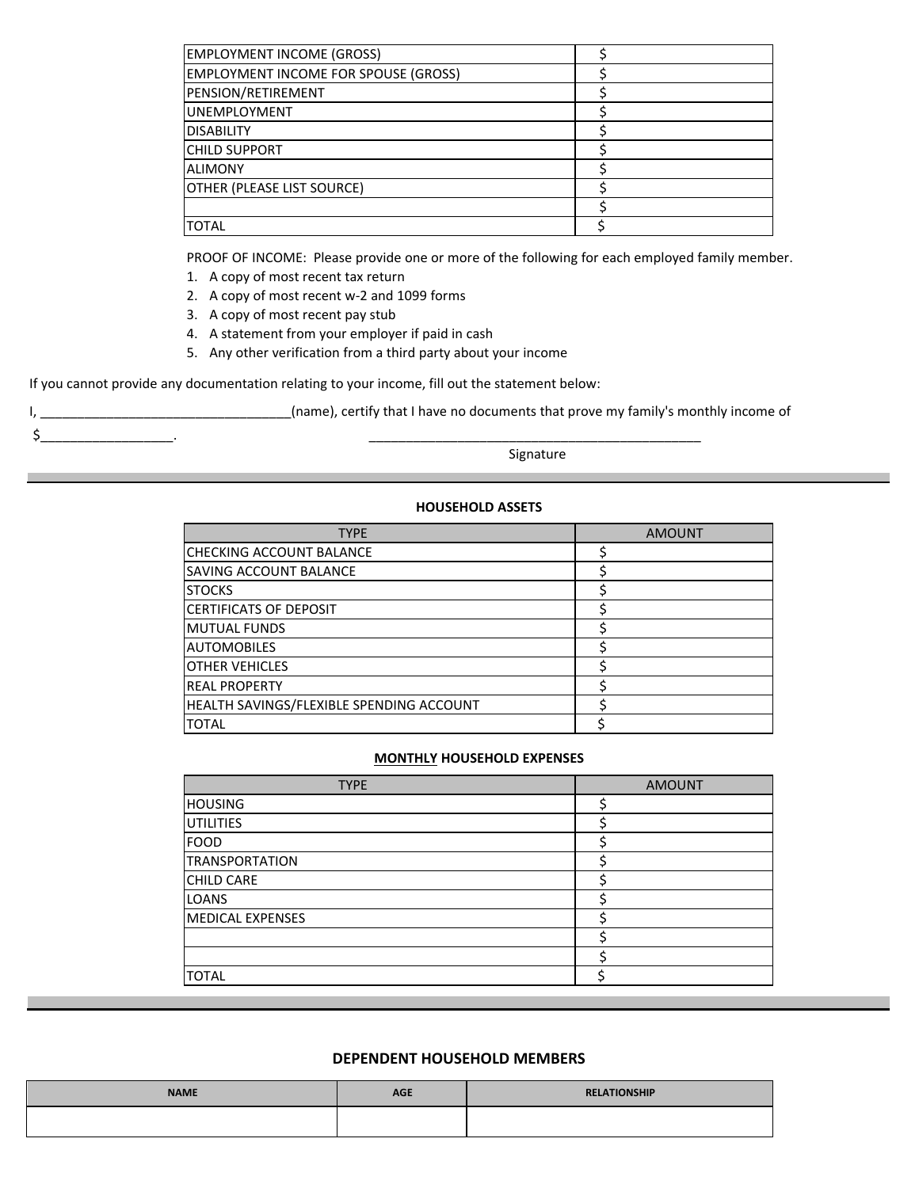| <b>EMPLOYMENT INCOME (GROSS)</b>            |  |
|---------------------------------------------|--|
| <b>EMPLOYMENT INCOME FOR SPOUSE (GROSS)</b> |  |
| PENSION/RETIREMENT                          |  |
| <b>IUNEMPLOYMENT</b>                        |  |
| <b>DISABILITY</b>                           |  |
| <b>CHILD SUPPORT</b>                        |  |
| <b>ALIMONY</b>                              |  |
| OTHER (PLEASE LIST SOURCE)                  |  |
|                                             |  |
| <b>TOTAL</b>                                |  |

PROOF OF INCOME: Please provide one or more of the following for each employed family member.

- 1. A copy of most recent tax return
- 2. A copy of most recent w-2 and 1099 forms
- 3. A copy of most recent pay stub

 $\zeta$  .

- 4. A statement from your employer if paid in cash
- 5. Any other verification from a third party about your income

If you cannot provide any documentation relating to your income, fill out the statement below:

I, \_\_\_\_\_\_\_\_\_\_\_\_\_\_\_\_\_\_\_\_\_\_\_\_\_\_\_\_\_\_\_\_(name), certify that I have no documents that prove my family's monthly income of

Signature

# **HOUSEHOLD ASSETS**

| <b>TYPE</b>                              | <b>AMOUNT</b> |
|------------------------------------------|---------------|
| ICHECKING ACCOUNT BALANCE                |               |
| <b>SAVING ACCOUNT BALANCE</b>            |               |
| <b>STOCKS</b>                            |               |
| <b>CERTIFICATS OF DEPOSIT</b>            |               |
| lMUTUAL FUNDS                            |               |
| <b>AUTOMOBILES</b>                       |               |
| <b>IOTHER VEHICLES</b>                   |               |
| <b>REAL PROPERTY</b>                     |               |
| HEALTH SAVINGS/FLEXIBLE SPENDING ACCOUNT |               |
| <b>TOTAL</b>                             |               |

### **MONTHLY HOUSEHOLD EXPENSES**

| <b>TYPE</b>             | <b>AMOUNT</b> |
|-------------------------|---------------|
| <b>HOUSING</b>          |               |
| <b>UTILITIES</b>        |               |
| <b>FOOD</b>             |               |
| <b>TRANSPORTATION</b>   |               |
| <b>CHILD CARE</b>       |               |
| LOANS                   |               |
| <b>MEDICAL EXPENSES</b> |               |
|                         |               |
|                         |               |
| <b>TOTAL</b>            |               |

# **DEPENDENT HOUSEHOLD MEMBERS**

| <b>NAME</b> | <b>AGE</b> | <b>RELATIONSHIP</b> |
|-------------|------------|---------------------|
|             |            |                     |